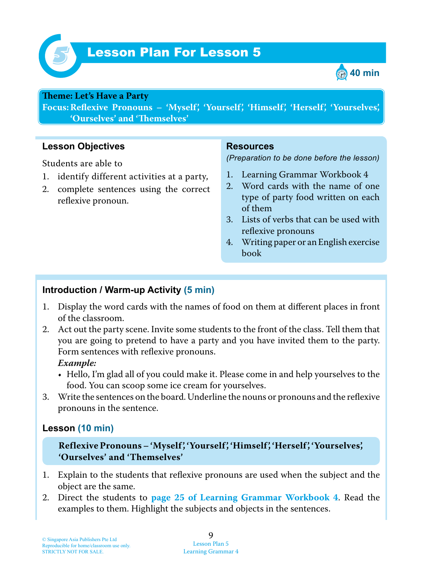

# Lesson Plan For Lesson 5 *5*



#### **Teme : Let's Have a Party**

**Focus: Reflexive Pronouns – 'Myself', 'Yourself', 'Himself', 'Herself', 'Yourselves', 'Ourselves' and 'Temselves'**

#### **Lesson Objectives**

Students are able to

- 1. identify different activities at a party,
- 2. complete sentences using the correct reflexive pronoun.

#### **Resources**

*(Preparation to be done before the lesson)*

- 1. Learning Grammar Workbook 4
- 2. Word cards with the name of one type of party food written on each of them
- 3. Lists of verbs that can be used with reflexive pronouns
- 4. Writing paper or an English exercise book

#### **Introduction / Warm-up Activity (5 min)**

- 1. Display the word cards with the names of food on them at different places in front of the classroom.
- 2. Act out the party scene. Invite some students to the front of the class. Tell them that you are going to pretend to have a party and you have invited them to the party. Form sentences with reflexive pronouns.  *Example:*

## • Hello, I'm glad all of you could make it. Please come in and help yourselves to the food. You can scoop some ice cream for yourselves.

3. Write the sentences on the board. Underline the nouns or pronouns and the reflexive pronouns in the sentence.

## **Lesson (10 min)**

**Reflexive Pronouns – 'Myself', 'Yourself', 'Himself', 'Herself', 'Yourselves', 'Ourselves' and 'Themselves'**

- 1. Explain to the students that reflexive pronouns are used when the subject and the object are the same.
- 2. Direct the students to **page 25 of Learning Grammar Workbook 4** . Read the examples to them. Highlight the subjects and objects in the sentences.